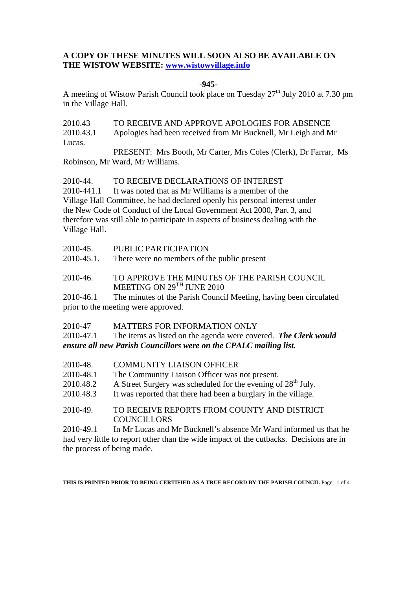# **A COPY OF THESE MINUTES WILL SOON ALSO BE AVAILABLE ON THE WISTOW WEBSITE: www.wistowvillage.info**

# **-945-**

A meeting of Wistow Parish Council took place on Tuesday  $27<sup>th</sup>$  July 2010 at 7.30 pm in the Village Hall.

2010.43 TO RECEIVE AND APPROVE APOLOGIES FOR ABSENCE 2010.43.1 Apologies had been received from Mr Bucknell, Mr Leigh and Mr Lucas. PRESENT: Mrs Booth, Mr Carter, Mrs Coles (Clerk), Dr Farrar, Ms

Robinson, Mr Ward, Mr Williams.

2010-44. TO RECEIVE DECLARATIONS OF INTEREST

2010-441.1 It was noted that as Mr Williams is a member of the Village Hall Committee, he had declared openly his personal interest under the New Code of Conduct of the Local Government Act 2000, Part 3, and therefore was still able to participate in aspects of business dealing with the Village Hall.

| 2010-45.   | PUBLIC PARTICIPATION                                                                                     |
|------------|----------------------------------------------------------------------------------------------------------|
| 2010-45.1. | There were no members of the public present                                                              |
| 2010-46.   | TO APPROVE THE MINUTES OF THE PARISH COUNCIL<br>MEETING ON $29^{TH}$ JUNE 2010                           |
| 2010-46.1  | The minutes of the Parish Council Meeting, having been circulated<br>prior to the meeting were approved. |

2010-47 MATTERS FOR INFORMATION ONLY 2010-47.1 The items as listed on the agenda were covered. *The Clerk would ensure all new Parish Councillors were on the CPALC mailing list.* 

- 2010-48. COMMUNITY LIAISON OFFICER
- 2010-48.1 The Community Liaison Officer was not present.
- 2010.48.2 A Street Surgery was scheduled for the evening of  $28<sup>th</sup>$  July.
- 2010.48.3 It was reported that there had been a burglary in the village.
- 2010-49. TO RECEIVE REPORTS FROM COUNTY AND DISTRICT COUNCILLORS

2010-49.1 In Mr Lucas and Mr Bucknell's absence Mr Ward informed us that he had very little to report other than the wide impact of the cutbacks. Decisions are in the process of being made.

**THIS IS PRINTED PRIOR TO BEING CERTIFIED AS A TRUE RECORD BY THE PARISH COUNCIL** Page 1 of 4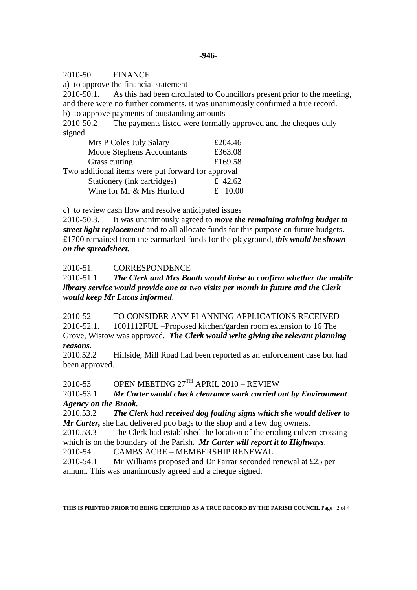2010-50. FINANCE

a) to approve the financial statement

2010-50.1. As this had been circulated to Councillors present prior to the meeting, and there were no further comments, it was unanimously confirmed a true record.

b) to approve payments of outstanding amounts

2010-50.2 The payments listed were formally approved and the cheques duly signed.

| Mrs P Coles July Salary                            |  | £204.46   |
|----------------------------------------------------|--|-----------|
| Moore Stephens Accountants                         |  | £363.08   |
| Grass cutting                                      |  | £169.58   |
| Two additional items were put forward for approval |  |           |
| Stationery (ink cartridges)                        |  | £ 42.62   |
| Wine for Mr & Mrs Hurford                          |  | £ $10.00$ |

c) to review cash flow and resolve anticipated issues

2010-50.3. It was unanimously agreed to *move the remaining training budget to street light replacement* and to all allocate funds for this purpose on future budgets. £1700 remained from the earmarked funds for the playground, *this would be shown on the spreadsheet.* 

2010-51. CORRESPONDENCE

2010-51.1 *The Clerk and Mrs Booth would liaise to confirm whether the mobile library service would provide one or two visits per month in future and the Clerk would keep Mr Lucas informed*.

2010-52 TO CONSIDER ANY PLANNING APPLICATIONS RECEIVED 2010-52.1. 1001112FUL –Proposed kitchen/garden room extension to 16 The Grove, Wistow was approved. *The Clerk would write giving the relevant planning reasons*.

2010.52.2 Hillside, Mill Road had been reported as an enforcement case but had been approved.

2010-53 OPEN MEETING  $27<sup>TH</sup>$  APRIL 2010 – REVIEW

2010-53.1 *Mr Carter would check clearance work carried out by Environment Agency on the Brook.* 

2010.53.2 *The Clerk had received dog fouling signs which she would deliver to Mr Carter,* she had delivered poo bags to the shop and a few dog owners.

2010.53.3 The Clerk had established the location of the eroding culvert crossing which is on the boundary of the Parish*. Mr Carter will report it to Highways*.

2010-54 CAMBS ACRE – MEMBERSHIP RENEWAL

2010-54.1 Mr Williams proposed and Dr Farrar seconded renewal at £25 per annum. This was unanimously agreed and a cheque signed.

**THIS IS PRINTED PRIOR TO BEING CERTIFIED AS A TRUE RECORD BY THE PARISH COUNCIL** Page 2 of 4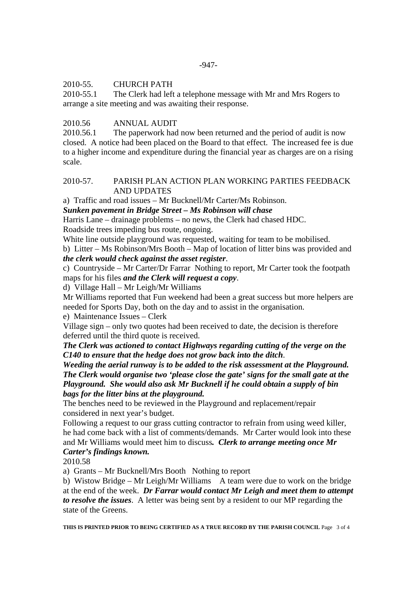#### 2010-55. CHURCH PATH

2010-55.1 The Clerk had left a telephone message with Mr and Mrs Rogers to arrange a site meeting and was awaiting their response.

# 2010.56 ANNUAL AUDIT

2010.56.1 The paperwork had now been returned and the period of audit is now closed. A notice had been placed on the Board to that effect. The increased fee is due to a higher income and expenditure during the financial year as charges are on a rising scale.

# 2010-57. PARISH PLAN ACTION PLAN WORKING PARTIES FEEDBACK AND UPDATES

a) Traffic and road issues – Mr Bucknell/Mr Carter/Ms Robinson.

*Sunken pavement in Bridge Street – Ms Robinson will chase* 

Harris Lane – drainage problems – no news, the Clerk had chased HDC. Roadside trees impeding bus route, ongoing.

White line outside playground was requested, waiting for team to be mobilised.

b) Litter – Ms Robinson/Mrs Booth – Map of location of litter bins was provided and *the clerk would check against the asset register*.

c) Countryside – Mr Carter/Dr Farrar Nothing to report, Mr Carter took the footpath maps for his files *and the Clerk will request a copy*.

d) Village Hall – Mr Leigh/Mr Williams

Mr Williams reported that Fun weekend had been a great success but more helpers are needed for Sports Day, both on the day and to assist in the organisation.

e) Maintenance Issues – Clerk

Village sign – only two quotes had been received to date, the decision is therefore deferred until the third quote is received.

*The Clerk was actioned to contact Highways regarding cutting of the verge on the C140 to ensure that the hedge does not grow back into the ditch*.

*Weeding the aerial runway is to be added to the risk assessment at the Playground. The Clerk would organise two 'please close the gate' signs for the small gate at the Playground. She would also ask Mr Bucknell if he could obtain a supply of bin bags for the litter bins at the playground.* 

The benches need to be reviewed in the Playground and replacement/repair considered in next year's budget.

Following a request to our grass cutting contractor to refrain from using weed killer, he had come back with a list of comments/demands. Mr Carter would look into these and Mr Williams would meet him to discuss*. Clerk to arrange meeting once Mr Carter's findings known.* 

2010.58

a) Grants – Mr Bucknell/Mrs Booth Nothing to report

b) Wistow Bridge – Mr Leigh/Mr Williams A team were due to work on the bridge at the end of the week. *Dr Farrar would contact Mr Leigh and meet them to attempt to resolve the issues*. A letter was being sent by a resident to our MP regarding the state of the Greens.

**THIS IS PRINTED PRIOR TO BEING CERTIFIED AS A TRUE RECORD BY THE PARISH COUNCIL** Page 3 of 4